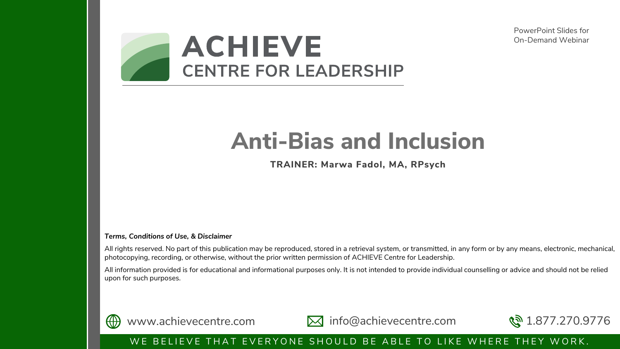PowerPoint Slides for On-Demand Webinar



# **Anti-Bias and Inclusion**

**TRAINER: Marwa Fadol, MA, RPsych**

#### *Terms, Conditions of Use, & Disclaimer*

All rights reserved. No part of this publication may be reproduced, stored in a retrieval system, or transmitted, in any form or by any means, electronic, mechanical, photocopying, recording, or otherwise, without the prior written permission of ACHIEVE Centre for Leadership.

All information provided is for educational and informational purposes only. It is not intended to provide individual counselling or advice and should not be relied upon for such purposes.



www.achievecentre.com M info@achievecentre.com  $\mathbb{R}^3$  1.877.270.9776



#### WE BELIEVE THAT EVERYONE SHOULD BE ABLE TO LIKE WHERE THEY WORK.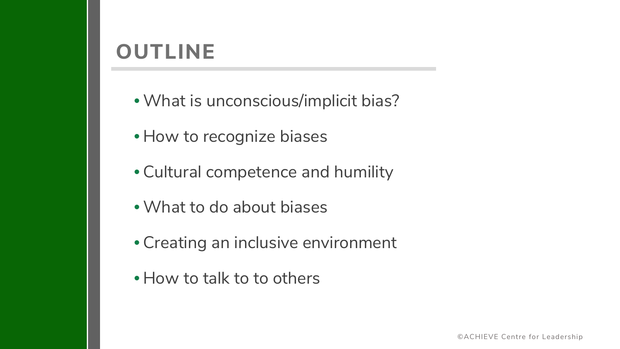#### **OUTLINE**

- •What is unconscious/implicit bias?
- How to recognize biases
- Cultural competence and humility
- •What to do about biases
- Creating an inclusive environment
- How to talk to to others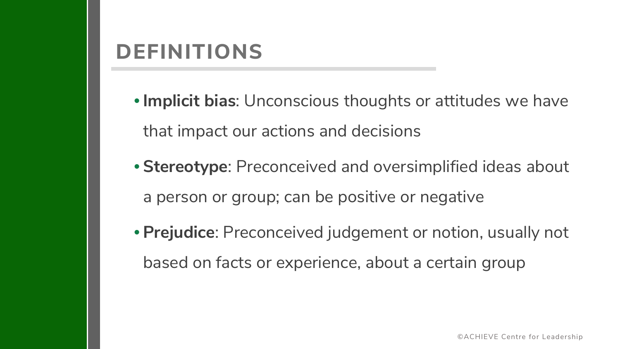#### **DEFINITIONS**

•**Implicit bias**: Unconscious thoughts or attitudes we have that impact our actions and decisions

- **Stereotype**: Preconceived and oversimplified ideas about a person or group; can be positive or negative
- **Prejudice**: Preconceived judgement or notion, usually not based on facts or experience, about a certain group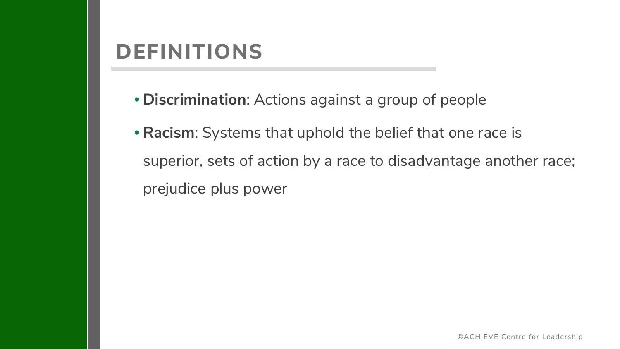#### **DEFINITIONS**

- **Discrimination**: Actions against a group of people
- **Racism**: Systems that uphold the belief that one race is superior, sets of action by a race to disadvantage another race; prejudice plus power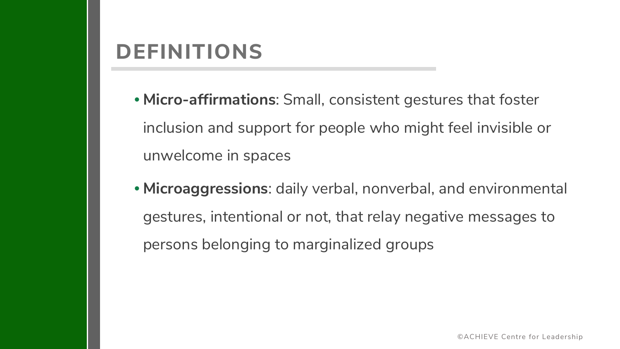#### **DEFINITIONS**

- **Micro-affirmations**: Small, consistent gestures that foster inclusion and support for people who might feel invisible or unwelcome in spaces
- **Microaggressions**: daily verbal, nonverbal, and environmental gestures, intentional or not, that relay negative messages to persons belonging to marginalized groups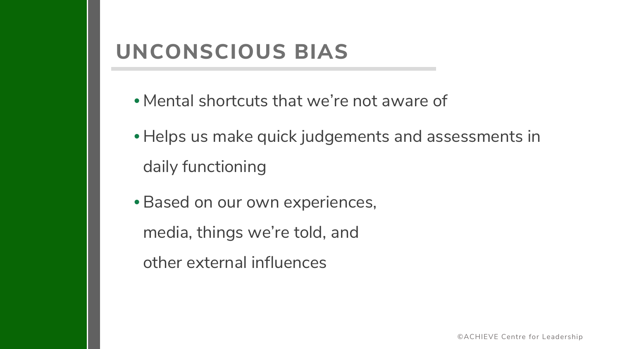## **UNCONSCIOUS BIAS**

- Mental shortcuts that we're not aware of
- Helps us make quick judgements and assessments in daily functioning
- Based on our own experiences,
	- media, things we're told, and
	- other external influences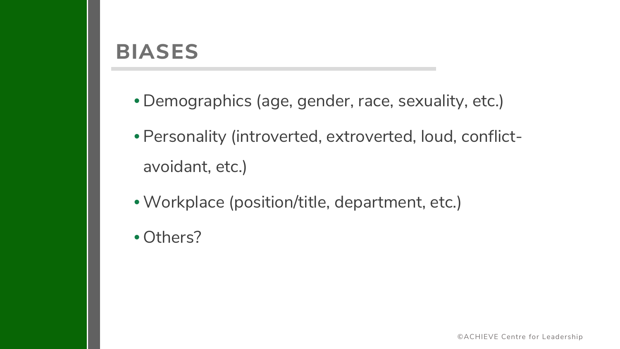#### **BIASES**

- Demographics (age, gender, race, sexuality, etc.)
- Personality (introverted, extroverted, loud, conflictavoidant, etc.)
- •Workplace (position/title, department, etc.)
- Others?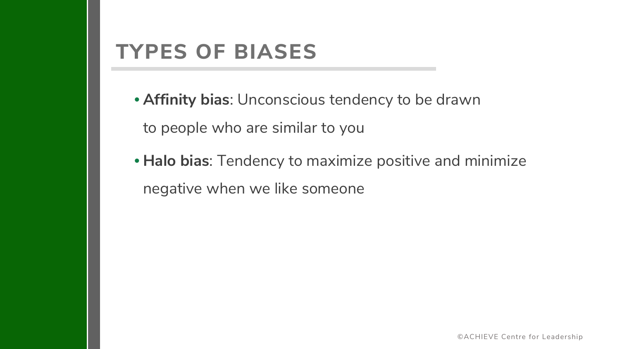#### **TYPES OF BIASES**

• **Affinity bias**: Unconscious tendency to be drawn to people who are similar to you

• **Halo bias**: Tendency to maximize positive and minimize negative when we like someone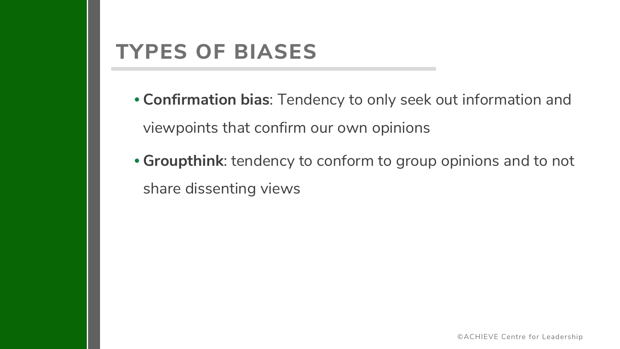#### **TYPES OF BIASES**

- **Confirmation bias**: Tendency to only seek out information and viewpoints that confirm our own opinions
- **Groupthink**: tendency to conform to group opinions and to not share dissenting views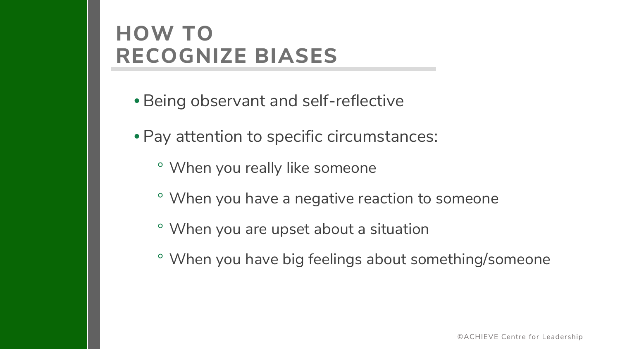## **HOW TO RECOGNIZE BIASES**

- Being observant and self-reflective
- Pay attention to specific circumstances:
	- ° When you really like someone
	- ° When you have a negative reaction to someone
	- ° When you are upset about a situation
	- ° When you have big feelings about something/someone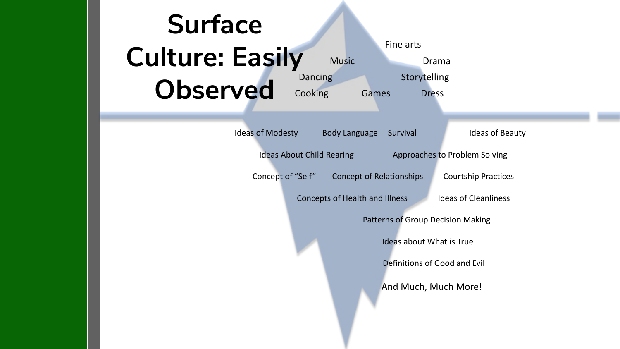#### **Surface Culture: Easily Observed** Ideas of Modesty Body Language Survival Ideas of Beauty Ideas About Child Rearing Approaches to Problem Solving Concept of "Self" Concept of Relationships Courtship Practices Concepts of Health and Illness Ideas of Cleanliness Patterns of Group Decision Making Ideas about What is True Definitions of Good and Evil And Much, Much More! Fine arts Music Drama Dancing Storytelling Cooking Games Dress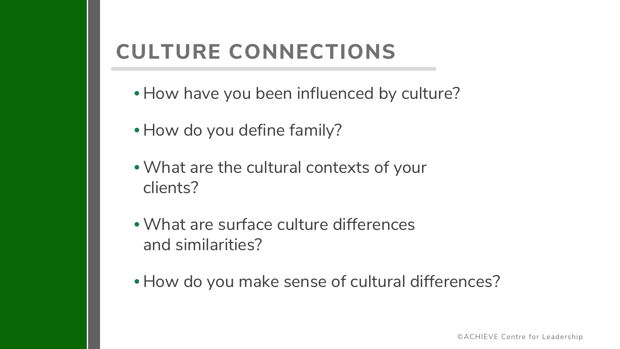## **CULTURE CONNECTIONS**

- How have you been influenced by culture?
- How do you define family?
- •What are the cultural contexts of your clients?
- •What are surface culture differences and similarities?
- How do you make sense of cultural differences?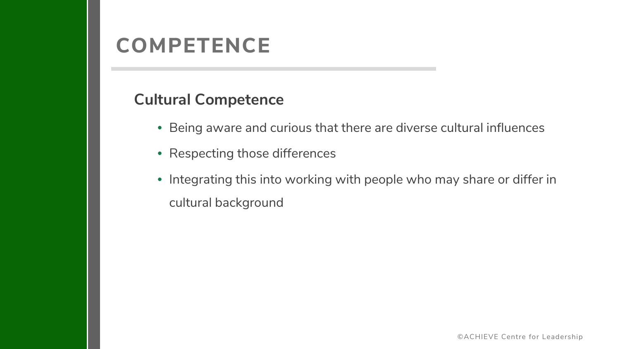#### **COMPETENCE**

#### **Cultural Competence**

- Being aware and curious that there are diverse cultural influences
- Respecting those differences
- Integrating this into working with people who may share or differ in cultural background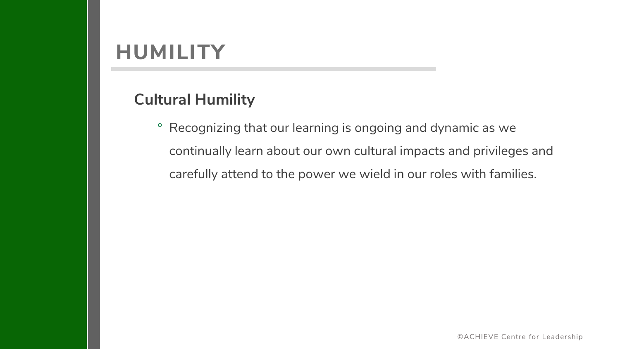#### **HUMILITY**

#### **Cultural Humility**

° Recognizing that our learning is ongoing and dynamic as we continually learn about our own cultural impacts and privileges and carefully attend to the power we wield in our roles with families.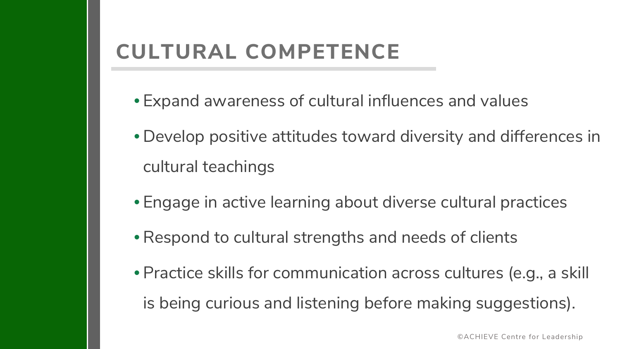## **CULTURAL COMPETENCE**

- Expand awareness of cultural influences and values
- Develop positive attitudes toward diversity and differences in cultural teachings
- Engage in active learning about diverse cultural practices
- •Respond to cultural strengths and needs of clients
- Practice skills for communication across cultures (e.g., a skill is being curious and listening before making suggestions).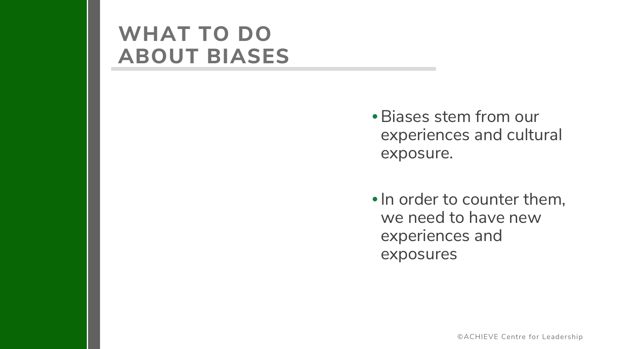• Biases stem from our experiences and cultural exposure.

•In order to counter them, we need to have new experiences and exposures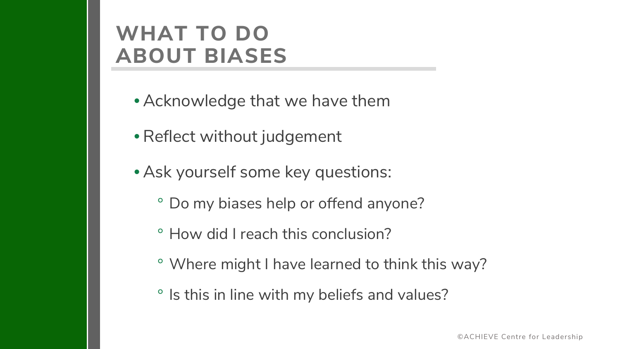- Acknowledge that we have them
- •Reflect without judgement
- Ask yourself some key questions:
	- ° Do my biases help or offend anyone?
	- ° How did I reach this conclusion?
	- ° Where might I have learned to think this way?
	- ° Is this in line with my beliefs and values?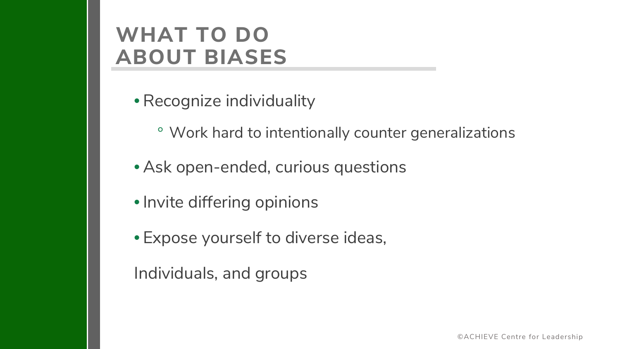- •Recognize individuality
	- ° Work hard to intentionally counter generalizations
- Ask open-ended, curious questions
- •Invite differing opinions
- Expose yourself to diverse ideas,

Individuals, and groups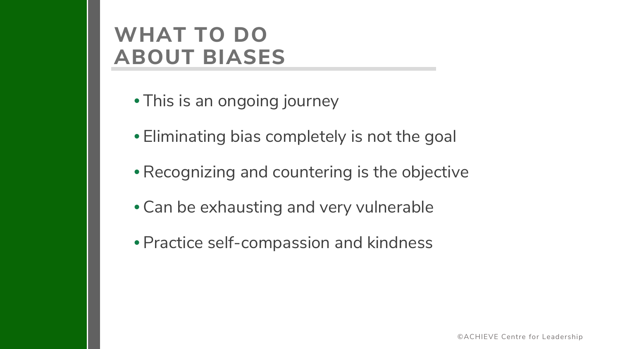- This is an ongoing journey
- Eliminating bias completely is not the goal
- •Recognizing and countering is the objective
- Can be exhausting and very vulnerable
- Practice self-compassion and kindness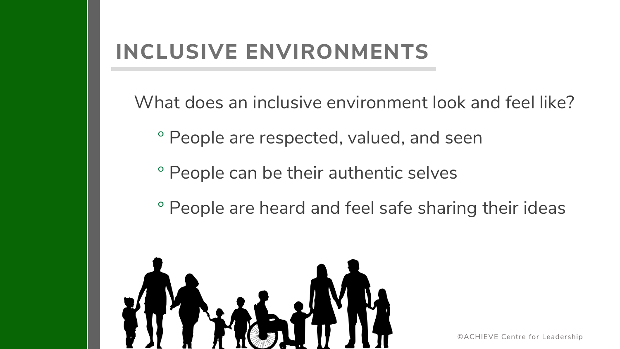What does an inclusive environment look and feel like?

- ° People are respected, valued, and seen
- ° People can be their authentic selves
- ° People are heard and feel safe sharing their ideas

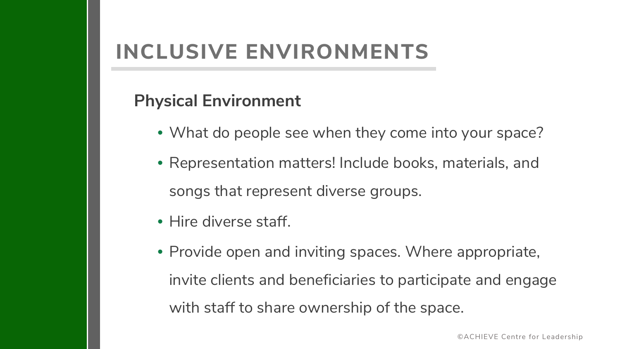#### **Physical Environment**

- What do people see when they come into your space?
- Representation matters! Include books, materials, and songs that represent diverse groups.
- Hire diverse staff.
- Provide open and inviting spaces. Where appropriate, invite clients and beneficiaries to participate and engage with staff to share ownership of the space.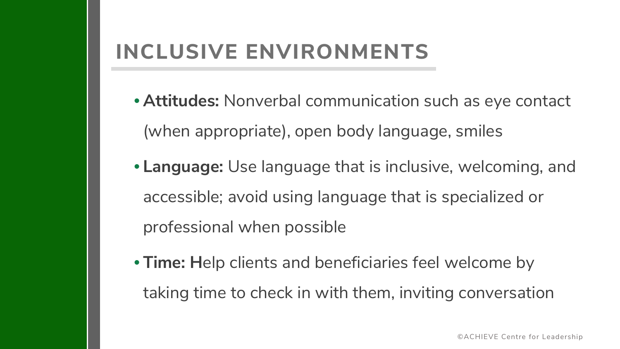- **Attitudes:** Nonverbal communication such as eye contact (when appropriate), open body language, smiles
- **Language:** Use language that is inclusive, welcoming, and accessible; avoid using language that is specialized or professional when possible
- **Time: H**elp clients and beneficiaries feel welcome by taking time to check in with them, inviting conversation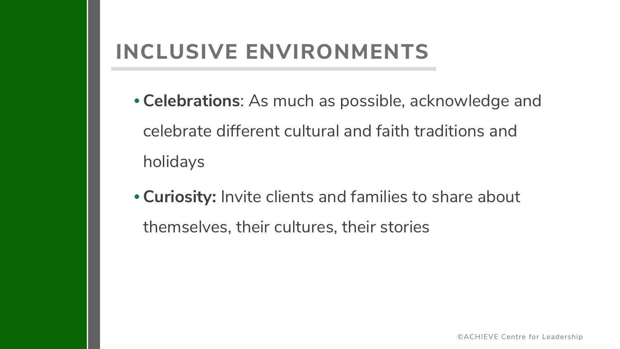- **Celebrations**: As much as possible, acknowledge and celebrate different cultural and faith traditions and holidays
- **Curiosity:** Invite clients and families to share about themselves, their cultures, their stories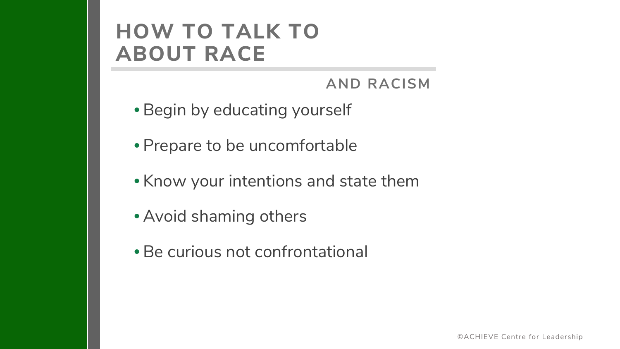## **HOW TO TALK TO ABOUT RACE**

#### **AND RACISM**

- Begin by educating yourself
- Prepare to be uncomfortable
- Know your intentions and state them
- Avoid shaming others
- Be curious not confrontational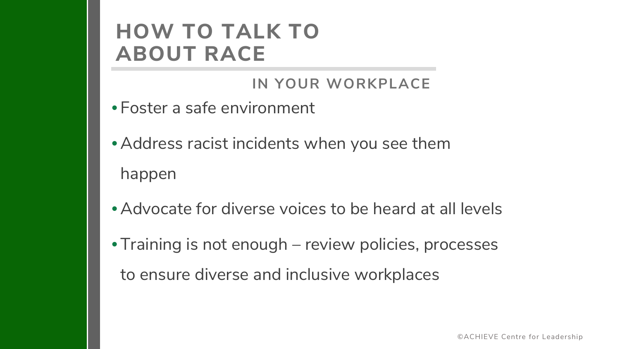## **HOW TO TALK TO ABOUT RACE**

#### **IN YOUR WORKPLACE**

- Foster a safe environment
- Address racist incidents when you see them happen
- Advocate for diverse voices to be heard at all levels
- Training is not enough review policies, processes to ensure diverse and inclusive workplaces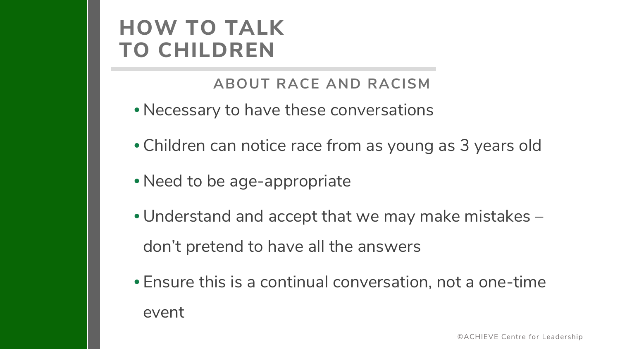## **HOW TO TALK TO CHILDREN**

#### **ABOUT RACE AND RACISM**

- Necessary to have these conversations
- Children can notice race from as young as 3 years old
- Need to be age-appropriate
- Understand and accept that we may make mistakes don't pretend to have all the answers
- Ensure this is a continual conversation, not a one-time event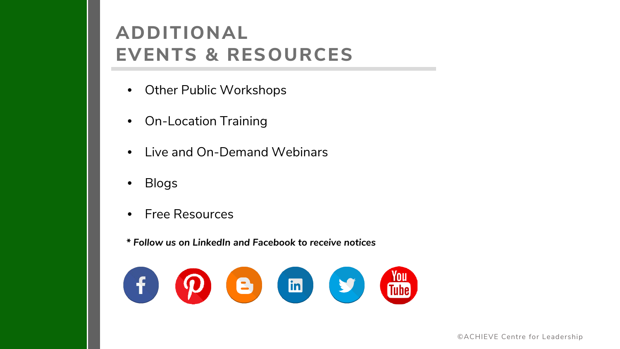#### **ADDITIONAL EVENTS & RESOURCES**

- Other Public Workshops
- On-Location Training
- Live and On-Demand Webinars
- Blogs
- Free Resources

*\* Follow us on LinkedIn and Facebook to receive notices*